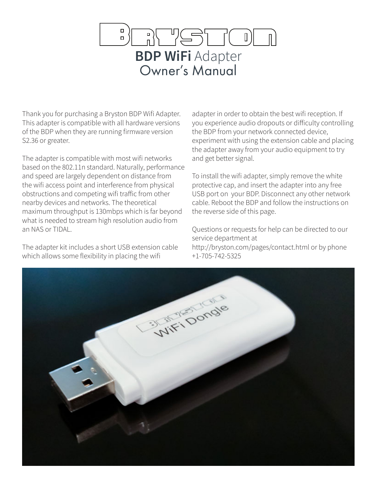

Thank you for purchasing a Bryston BDP Wifi Adapter. This adapter is compatible with all hardware versions of the BDP when they are running firmware version S2.36 or greater.

The adapter is compatible with most wifi networks based on the 802.11n standard. Naturally, performance and speed are largely dependent on distance from the wifi access point and interference from physical obstructions and competing wifi traffic from other nearby devices and networks. The theoretical maximum throughput is 130mbps which is far beyond what is needed to stream high resolution audio from an NAS or TIDAL.

The adapter kit includes a short USB extension cable which allows some flexibility in placing the wifi

adapter in order to obtain the best wifi reception. If you experience audio dropouts or difficulty controlling the BDP from your network connected device, experiment with using the extension cable and placing the adapter away from your audio equipment to try and get better signal.

To install the wifi adapter, simply remove the white protective cap, and insert the adapter into any free USB port on your BDP. Disconnect any other network cable. Reboot the BDP and follow the instructions on the reverse side of this page.

Questions or requests for help can be directed to our service department at http://bryston.com/pages/contact.html or by phone +1-705-742-5325